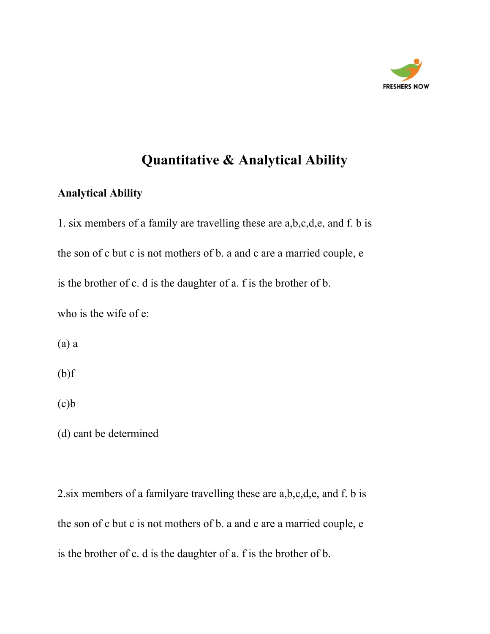

# **Quantitative & Analytical Ability**

### **Analytical Ability**

1. six members of a family are travelling these are a,b,c,d,e, and f. b is the son of c but c is not mothers of b. a and c are a married couple, e is the brother of c. d is the daughter of a. f is the brother of b. who is the wife of e:

(a) a

(b)f

 $(c)b$ 

(d) cant be determined

2.six members of a familyare travelling these are a,b,c,d,e, and f. b is the son of c but c is not mothers of b. a and c are a married couple, e is the brother of c. d is the daughter of a. f is the brother of b.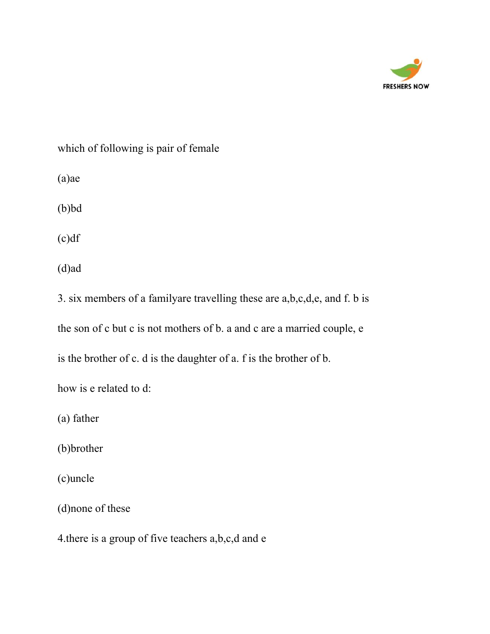

which of following is pair of female

(a)ae

(b)bd

(c)df

(d)ad

3. six members of a familyare travelling these are a,b,c,d,e, and f. b is the son of c but c is not mothers of b. a and c are a married couple, e

is the brother of c. d is the daughter of a. f is the brother of b.

how is e related to d:

(a) father

(b)brother

(c)uncle

(d)none of these

4.there is a group of five teachers a,b,c,d and e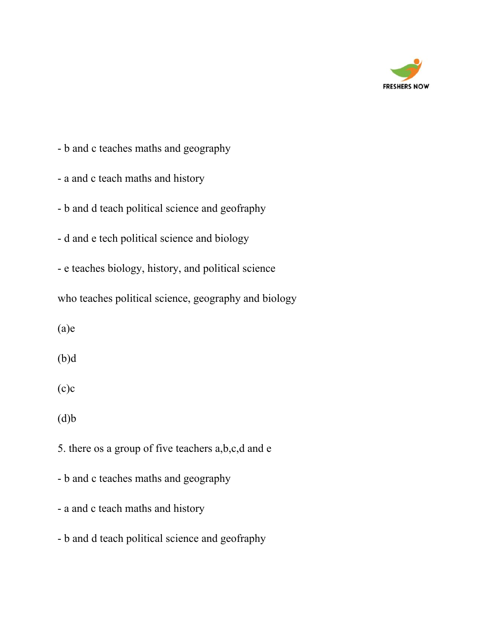

- b and c teaches maths and geography
- a and c teach maths and history
- b and d teach political science and geofraphy
- d and e tech political science and biology
- e teaches biology, history, and political science
- who teaches political science, geography and biology
- (a)e
- (b)d
- $(c)c$
- $(d)b$
- 5. there os a group of five teachers a,b,c,d and e
- b and c teaches maths and geography
- a and c teach maths and history
- b and d teach political science and geofraphy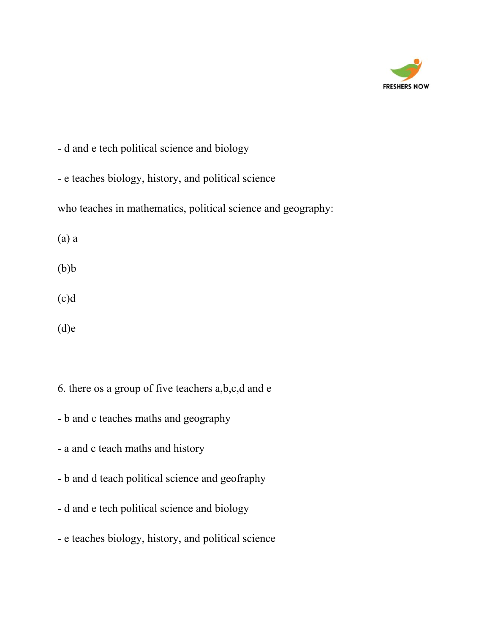

- d and e tech political science and biology

- e teaches biology, history, and political science

who teaches in mathematics, political science and geography:

(a) a

 $(b)b$ 

(c)d

(d)e

6. there os a group of five teachers a,b,c,d and e

- b and c teaches maths and geography
- a and c teach maths and history
- b and d teach political science and geofraphy
- d and e tech political science and biology
- e teaches biology, history, and political science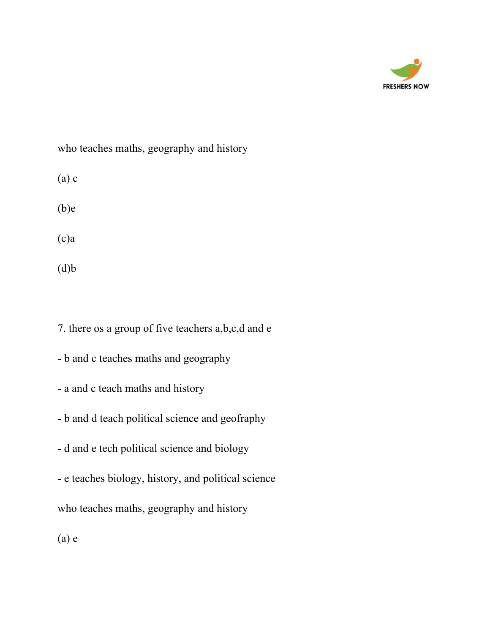

who teaches maths, geography and history

- (a) c
- (b)e
- (c)a
- $(d)b$

7. there os a group of five teachers a,b,c,d and e

- b and c teaches maths and geography
- a and c teach maths and history
- b and d teach political science and geofraphy
- d and e tech political science and biology
- e teaches biology, history, and political science

who teaches maths, geography and history

(a) e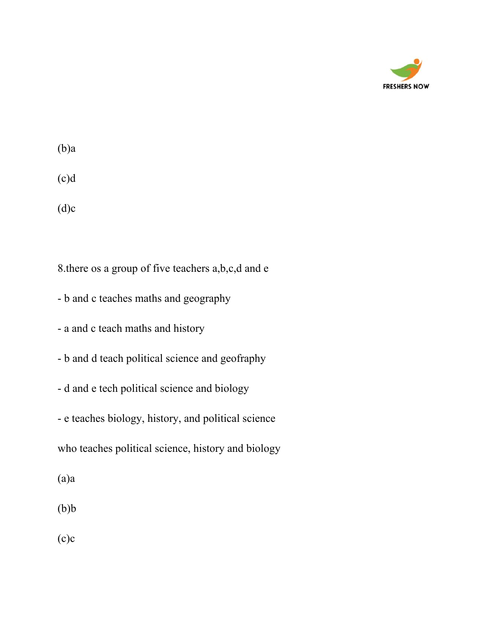

(b)a

(c)d

 $(d)c$ 

8.there os a group of five teachers a,b,c,d and e

- b and c teaches maths and geography
- a and c teach maths and history
- b and d teach political science and geofraphy
- d and e tech political science and biology
- e teaches biology, history, and political science

who teaches political science, history and biology

(a)a

 $(b)b$ 

 $(c)c$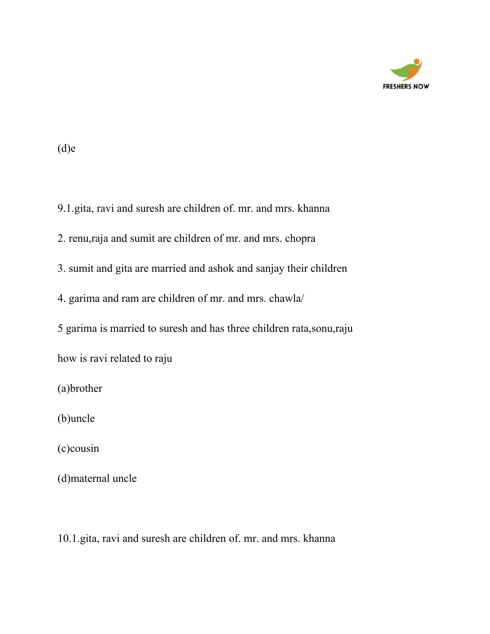

#### (d)e

9.1.gita, ravi and suresh are children of. mr. and mrs. khanna

2. renu,raja and sumit are children of mr. and mrs. chopra

3. sumit and gita are married and ashok and sanjay their children

4. garima and ram are children of mr. and mrs. chawla/

5 garima is married to suresh and has three children rata,sonu,raju

how is ravi related to raju

(a)brother

(b)uncle

(c)cousin

(d)maternal uncle

10.1.gita, ravi and suresh are children of. mr. and mrs. khanna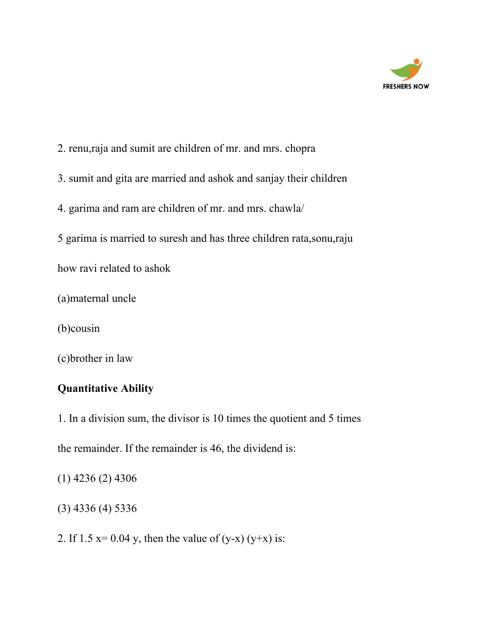

- 2. renu,raja and sumit are children of mr. and mrs. chopra
- 3. sumit and gita are married and ashok and sanjay their children
- 4. garima and ram are children of mr. and mrs. chawla/
- 5 garima is married to suresh and has three children rata,sonu,raju
- how ravi related to ashok
- (a)maternal uncle
- (b)cousin
- (c)brother in law

## **Quantitative Ability**

- 1. In a division sum, the divisor is 10 times the quotient and 5 times
- the remainder. If the remainder is 46, the dividend is:
- (1) 4236 (2) 4306
- (3) 4336 (4) 5336
- 2. If  $1.5 x= 0.04 y$ , then the value of  $(y-x) (y+x)$  is: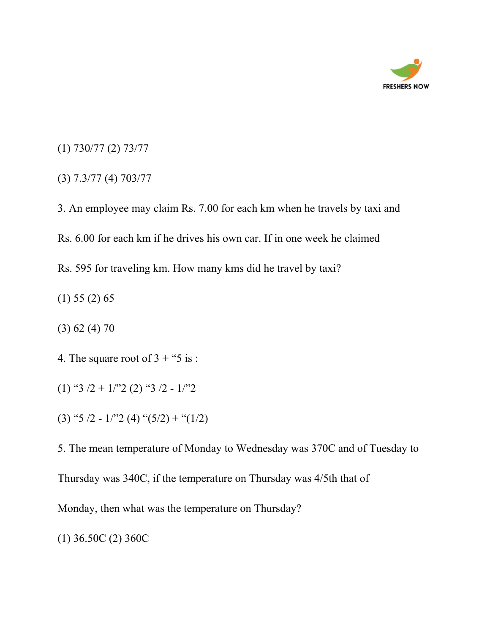

- (1) 730/77 (2) 73/77
- (3) 7.3/77 (4) 703/77

3. An employee may claim Rs. 7.00 for each km when he travels by taxi and Rs. 6.00 for each km if he drives his own car. If in one week he claimed Rs. 595 for traveling km. How many kms did he travel by taxi?

- (1) 55 (2) 65
- (3) 62 (4) 70
- 4. The square root of  $3 +$  "5 is :
- (1) "3  $/2$  + 1/"2 (2) "3  $/2$  1/"2
- (3) "5 /2 1/"2 (4) " $(5/2)$  + " $(1/2)$

5. The mean temperature of Monday to Wednesday was 370C and of Tuesday to Thursday was 340C, if the temperature on Thursday was 4/5th that of

Monday, then what was the temperature on Thursday?

(1) 36.50C (2) 360C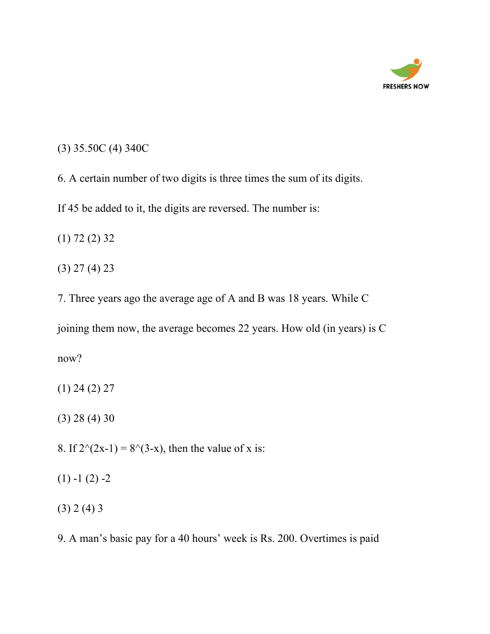

## (3) 35.50C (4) 340C

6. A certain number of two digits is three times the sum of its digits.

If 45 be added to it, the digits are reversed. The number is:

(1) 72 (2) 32

(3) 27 (4) 23

7. Three years ago the average age of A and B was 18 years. While C

joining them now, the average becomes 22 years. How old (in years) is C

now?

(1) 24 (2) 27

(3) 28 (4) 30

8. If  $2^{\wedge}(2x-1) = 8^{\wedge}(3-x)$ , then the value of x is:

 $(1) -1 (2) -2$ 

(3) 2 (4) 3

9. A man's basic pay for a 40 hours' week is Rs. 200. Overtimes is paid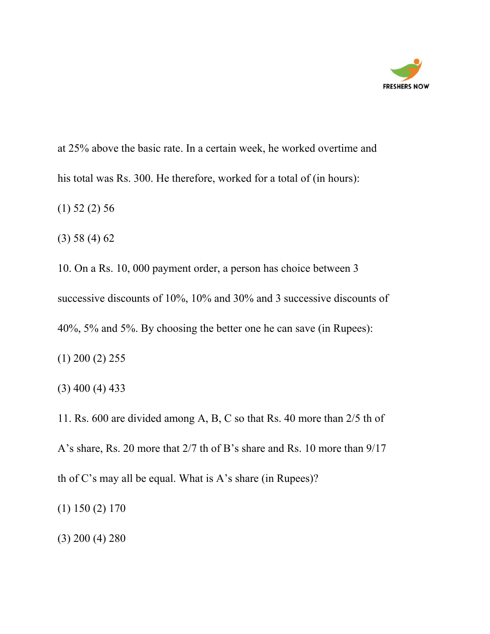

at 25% above the basic rate. In a certain week, he worked overtime and his total was Rs. 300. He therefore, worked for a total of (in hours):

(1) 52 (2) 56

(3) 58 (4) 62

10. On a Rs. 10, 000 payment order, a person has choice between 3 successive discounts of 10%, 10% and 30% and 3 successive discounts of 40%, 5% and 5%. By choosing the better one he can save (in Rupees):

(1) 200 (2) 255

(3) 400 (4) 433

11. Rs. 600 are divided among A, B, C so that Rs. 40 more than 2/5 th of A's share, Rs. 20 more that 2/7 th of B's share and Rs. 10 more than 9/17 th of C's may all be equal. What is A's share (in Rupees)?

(1) 150 (2) 170

(3) 200 (4) 280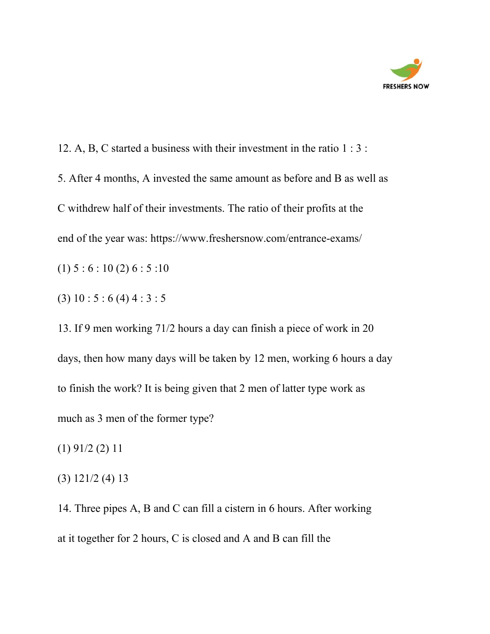

12. A, B, C started a business with their investment in the ratio 1 : 3 : 5. After 4 months, A invested the same amount as before and B as well as C withdrew half of their investments. The ratio of their profits at the end of the year was: <https://www.freshersnow.com/entrance-exams/>  $(1) 5 : 6 : 10 (2) 6 : 5 : 10$ 

(3) 10 : 5 : 6 (4) 4 : 3 : 5

13. If 9 men working 71/2 hours a day can finish a piece of work in 20 days, then how many days will be taken by 12 men, working 6 hours a day to finish the work? It is being given that 2 men of latter type work as much as 3 men of the former type?

(1) 91/2 (2) 11

(3) 121/2 (4) 13

14. Three pipes A, B and C can fill a cistern in 6 hours. After working at it together for 2 hours, C is closed and A and B can fill the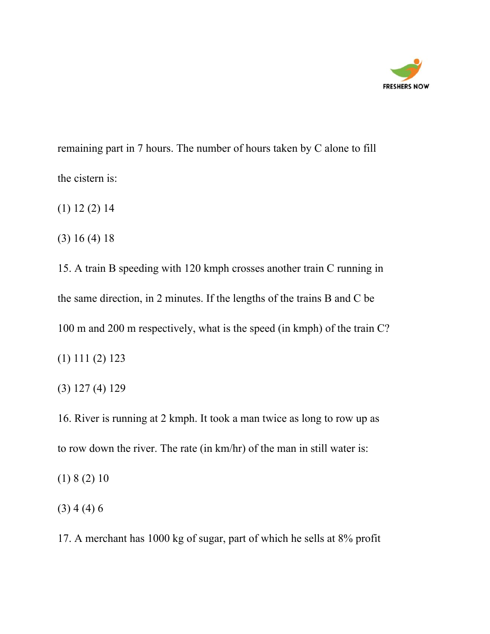

remaining part in 7 hours. The number of hours taken by C alone to fill the cistern is:

(1) 12 (2) 14

(3) 16 (4) 18

15. A train B speeding with 120 kmph crosses another train C running in the same direction, in 2 minutes. If the lengths of the trains B and C be 100 m and 200 m respectively, what is the speed (in kmph) of the train C?

(1) 111 (2) 123

(3) 127 (4) 129

16. River is running at 2 kmph. It took a man twice as long to row up as to row down the river. The rate (in km/hr) of the man in still water is:

(1) 8 (2) 10

(3) 4 (4) 6

17. A merchant has 1000 kg of sugar, part of which he sells at 8% profit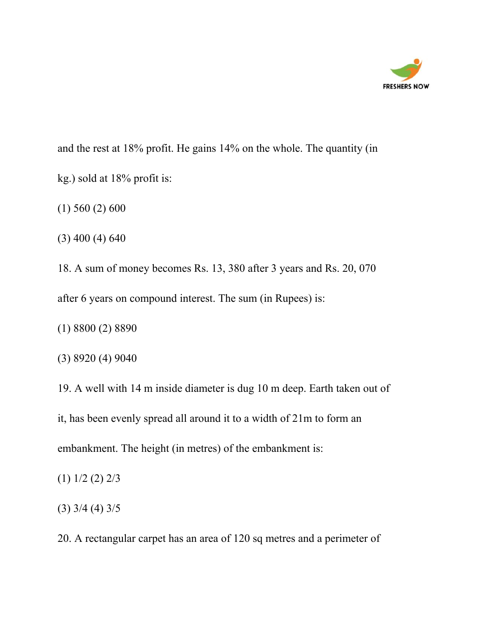

and the rest at 18% profit. He gains 14% on the whole. The quantity (in kg.) sold at 18% profit is:

(1) 560 (2) 600

(3) 400 (4) 640

18. A sum of money becomes Rs. 13, 380 after 3 years and Rs. 20, 070 after 6 years on compound interest. The sum (in Rupees) is:

(1) 8800 (2) 8890

(3) 8920 (4) 9040

19. A well with 14 m inside diameter is dug 10 m deep. Earth taken out of

it, has been evenly spread all around it to a width of 21m to form an

embankment. The height (in metres) of the embankment is:

(1) 1/2 (2) 2/3

(3) 3/4 (4) 3/5

20. A rectangular carpet has an area of 120 sq metres and a perimeter of